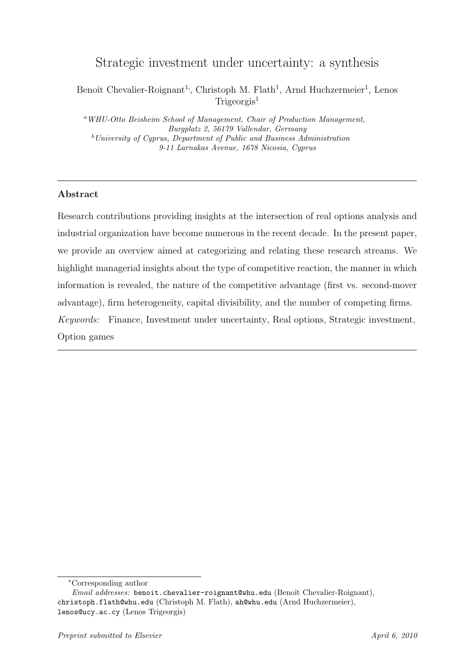# Strategic investment under uncertainty: a synthesis

Benoît Chevalier-Roignant<sup>1</sup>, Christoph M. Flath<sup>1</sup>, Arnd Huchzermeier<sup>1</sup>, Lenos  $Trigeoreis<sup>1</sup>$ 

<sup>a</sup>WHU-Otto Beisheim School of Management, Chair of Production Management, Burgplatz 2, 56179 Vallendar, Germany  $b$ University of Cyprus, Department of Public and Business Administration 9-11 Larnakas Avenue, 1678 Nicosia, Cyprus

## Abstract

Research contributions providing insights at the intersection of real options analysis and industrial organization have become numerous in the recent decade. In the present paper, we provide an overview aimed at categorizing and relating these research streams. We highlight managerial insights about the type of competitive reaction, the manner in which information is revealed, the nature of the competitive advantage (first vs. second-mover advantage), firm heterogeneity, capital divisibility, and the number of competing firms. Keywords: Finance, Investment under uncertainty, Real options, Strategic investment, Option games

<sup>∗</sup>Corresponding author

Email addresses: benoit.chevalier-roignant@whu.edu (Benoît Chevalier-Roignant), christoph.flath@whu.edu (Christoph M. Flath), ah@whu.edu (Arnd Huchzermeier), lenos@ucy.ac.cy (Lenos Trigeorgis)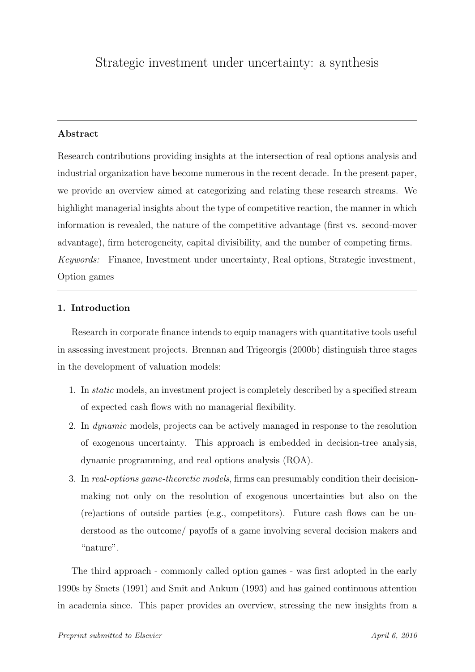## Abstract

Research contributions providing insights at the intersection of real options analysis and industrial organization have become numerous in the recent decade. In the present paper, we provide an overview aimed at categorizing and relating these research streams. We highlight managerial insights about the type of competitive reaction, the manner in which information is revealed, the nature of the competitive advantage (first vs. second-mover advantage), firm heterogeneity, capital divisibility, and the number of competing firms. Keywords: Finance, Investment under uncertainty, Real options, Strategic investment, Option games

## 1. Introduction

Research in corporate finance intends to equip managers with quantitative tools useful in assessing investment projects. Brennan and Trigeorgis (2000b) distinguish three stages in the development of valuation models:

- 1. In static models, an investment project is completely described by a specified stream of expected cash flows with no managerial flexibility.
- 2. In dynamic models, projects can be actively managed in response to the resolution of exogenous uncertainty. This approach is embedded in decision-tree analysis, dynamic programming, and real options analysis (ROA).
- 3. In real-options game-theoretic models, firms can presumably condition their decisionmaking not only on the resolution of exogenous uncertainties but also on the (re)actions of outside parties (e.g., competitors). Future cash flows can be understood as the outcome/ payoffs of a game involving several decision makers and "nature".

The third approach - commonly called option games - was first adopted in the early 1990s by Smets (1991) and Smit and Ankum (1993) and has gained continuous attention in academia since. This paper provides an overview, stressing the new insights from a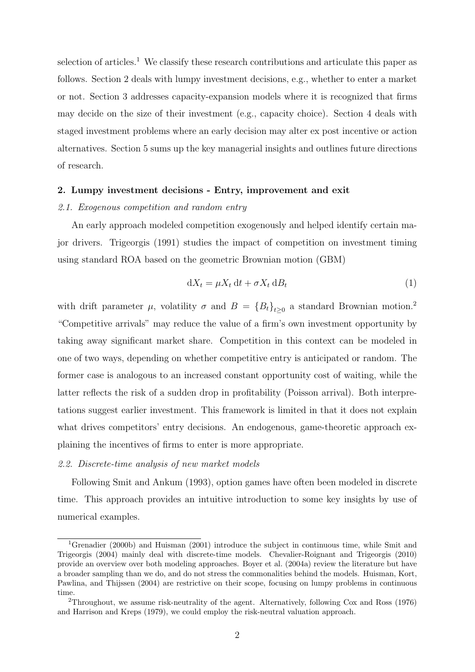selection of articles.<sup>1</sup> We classify these research contributions and articulate this paper as follows. Section 2 deals with lumpy investment decisions, e.g., whether to enter a market or not. Section 3 addresses capacity-expansion models where it is recognized that firms may decide on the size of their investment (e.g., capacity choice). Section 4 deals with staged investment problems where an early decision may alter ex post incentive or action alternatives. Section 5 sums up the key managerial insights and outlines future directions of research.

#### 2. Lumpy investment decisions - Entry, improvement and exit

#### 2.1. Exogenous competition and random entry

An early approach modeled competition exogenously and helped identify certain major drivers. Trigeorgis (1991) studies the impact of competition on investment timing using standard ROA based on the geometric Brownian motion (GBM)

$$
dX_t = \mu X_t dt + \sigma X_t dB_t
$$
\n(1)

with drift parameter  $\mu$ , volatility  $\sigma$  and  $B = \{B_t\}_{t\geq 0}$  a standard Brownian motion.<sup>2</sup> "Competitive arrivals" may reduce the value of a firm's own investment opportunity by taking away significant market share. Competition in this context can be modeled in one of two ways, depending on whether competitive entry is anticipated or random. The former case is analogous to an increased constant opportunity cost of waiting, while the latter reflects the risk of a sudden drop in profitability (Poisson arrival). Both interpretations suggest earlier investment. This framework is limited in that it does not explain what drives competitors' entry decisions. An endogenous, game-theoretic approach explaining the incentives of firms to enter is more appropriate.

#### 2.2. Discrete-time analysis of new market models

Following Smit and Ankum (1993), option games have often been modeled in discrete time. This approach provides an intuitive introduction to some key insights by use of numerical examples.

<sup>&</sup>lt;sup>1</sup>Grenadier (2000b) and Huisman (2001) introduce the subject in continuous time, while Smit and Trigeorgis (2004) mainly deal with discrete-time models. Chevalier-Roignant and Trigeorgis (2010) provide an overview over both modeling approaches. Boyer et al. (2004a) review the literature but have a broader sampling than we do, and do not stress the commonalities behind the models. Huisman, Kort, Pawlina, and Thijssen (2004) are restrictive on their scope, focusing on lumpy problems in continuous time.

<sup>2</sup>Throughout, we assume risk-neutrality of the agent. Alternatively, following Cox and Ross (1976) and Harrison and Kreps (1979), we could employ the risk-neutral valuation approach.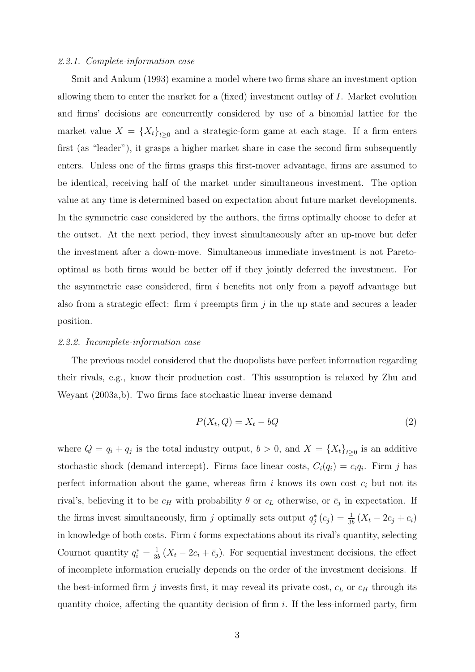#### 2.2.1. Complete-information case

Smit and Ankum (1993) examine a model where two firms share an investment option allowing them to enter the market for a (fixed) investment outlay of I. Market evolution and firms' decisions are concurrently considered by use of a binomial lattice for the market value  $X = \{X_t\}_{t\geq 0}$  and a strategic-form game at each stage. If a firm enters first (as "leader"), it grasps a higher market share in case the second firm subsequently enters. Unless one of the firms grasps this first-mover advantage, firms are assumed to be identical, receiving half of the market under simultaneous investment. The option value at any time is determined based on expectation about future market developments. In the symmetric case considered by the authors, the firms optimally choose to defer at the outset. At the next period, they invest simultaneously after an up-move but defer the investment after a down-move. Simultaneous immediate investment is not Paretooptimal as both firms would be better off if they jointly deferred the investment. For the asymmetric case considered, firm i benefits not only from a payoff advantage but also from a strategic effect: firm i preempts firm  $j$  in the up state and secures a leader position.

#### 2.2.2. Incomplete-information case

The previous model considered that the duopolists have perfect information regarding their rivals, e.g., know their production cost. This assumption is relaxed by Zhu and Weyant (2003a,b). Two firms face stochastic linear inverse demand

$$
P(X_t, Q) = X_t - bQ \tag{2}
$$

where  $Q = q_i + q_j$  is the total industry output,  $b > 0$ , and  $X = \{X_t\}_{t>0}$  is an additive stochastic shock (demand intercept). Firms face linear costs,  $C_i(q_i) = c_i q_i$ . Firm j has perfect information about the game, whereas firm i knows its own cost  $c_i$  but not its rival's, believing it to be  $c_H$  with probability  $\theta$  or  $c_L$  otherwise, or  $\bar{c}_j$  in expectation. If the firms invest simultaneously, firm j optimally sets output  $q_j^*(c_j) = \frac{1}{3b} (X_t - 2c_j + c_i)$ in knowledge of both costs. Firm  $i$  forms expectations about its rival's quantity, selecting Cournot quantity  $q_i^* = \frac{1}{3l}$  $\frac{1}{3b}(X_t - 2c_i + \bar{c}_j)$ . For sequential investment decisions, the effect of incomplete information crucially depends on the order of the investment decisions. If the best-informed firm  $j$  invests first, it may reveal its private cost,  $c<sub>L</sub>$  or  $c<sub>H</sub>$  through its quantity choice, affecting the quantity decision of firm i. If the less-informed party, firm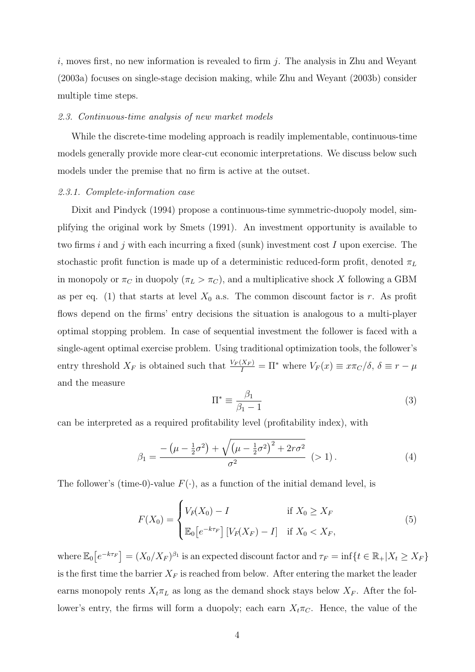i, moves first, no new information is revealed to firm  $j$ . The analysis in Zhu and Weyant (2003a) focuses on single-stage decision making, while Zhu and Weyant (2003b) consider multiple time steps.

#### 2.3. Continuous-time analysis of new market models

While the discrete-time modeling approach is readily implementable, continuous-time models generally provide more clear-cut economic interpretations. We discuss below such models under the premise that no firm is active at the outset.

#### 2.3.1. Complete-information case

Dixit and Pindyck (1994) propose a continuous-time symmetric-duopoly model, simplifying the original work by Smets (1991). An investment opportunity is available to two firms i and j with each incurring a fixed (sunk) investment cost I upon exercise. The stochastic profit function is made up of a deterministic reduced-form profit, denoted  $\pi_L$ in monopoly or  $\pi_C$  in duopoly  $(\pi_L > \pi_C)$ , and a multiplicative shock X following a GBM as per eq. (1) that starts at level  $X_0$  a.s. The common discount factor is r. As profit flows depend on the firms' entry decisions the situation is analogous to a multi-player optimal stopping problem. In case of sequential investment the follower is faced with a single-agent optimal exercise problem. Using traditional optimization tools, the follower's entry threshold  $X_F$  is obtained such that  $\frac{V_F(X_F)}{I} = \Pi^*$  where  $V_F(x) \equiv x\pi_C/\delta$ ,  $\delta \equiv r - \mu$ and the measure

$$
\Pi^* \equiv \frac{\beta_1}{\beta_1 - 1} \tag{3}
$$

can be interpreted as a required profitability level (profitability index), with

$$
\beta_1 = \frac{-\left(\mu - \frac{1}{2}\sigma^2\right) + \sqrt{\left(\mu - \frac{1}{2}\sigma^2\right)^2 + 2r\sigma^2}}{\sigma^2} \quad (>1).
$$
 (4)

The follower's (time-0)-value  $F(\cdot)$ , as a function of the initial demand level, is

$$
F(X_0) = \begin{cases} V_F(X_0) - I & \text{if } X_0 \ge X_F \\ \mathbb{E}_0[e^{-k\tau_F}] \left[ V_F(X_F) - I \right] & \text{if } X_0 < X_F, \end{cases} \tag{5}
$$

where  $\mathbb{E}_0[e^{-k\tau_F}] = (X_0/X_F)^{\beta_1}$  is an expected discount factor and  $\tau_F = \inf\{t \in \mathbb{R}_+ | X_t \geq X_F\}$ is the first time the barrier  $X_F$  is reached from below. After entering the market the leader earns monopoly rents  $X_t \pi_L$  as long as the demand shock stays below  $X_F$ . After the follower's entry, the firms will form a duopoly; each earn  $X_t\pi_C$ . Hence, the value of the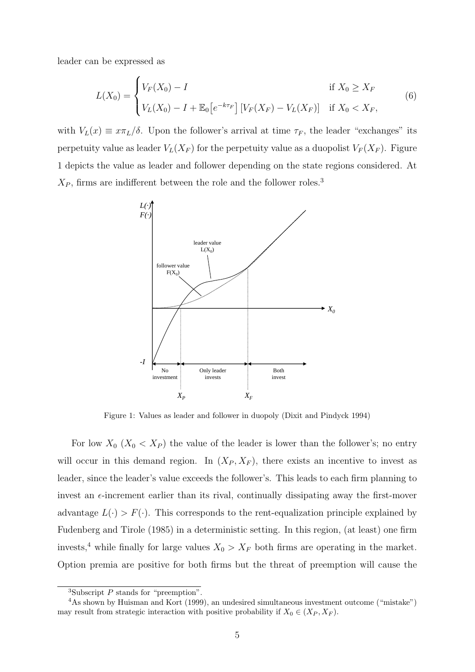leader can be expressed as

$$
L(X_0) = \begin{cases} V_F(X_0) - I & \text{if } X_0 \ge X_F \\ V_L(X_0) - I + \mathbb{E}_0[e^{-k\tau_F}] \left[ V_F(X_F) - V_L(X_F) \right] & \text{if } X_0 < X_F, \end{cases} \tag{6}
$$

with  $V_L(x) \equiv x\pi_L/\delta$ . Upon the follower's arrival at time  $\tau_F$ , the leader "exchanges" its perpetuity value as leader  $V_L(X_F)$  for the perpetuity value as a duopolist  $V_F(X_F)$ . Figure 1 depicts the value as leader and follower depending on the state regions considered. At  $X_P$ , firms are indifferent between the role and the follower roles.<sup>3</sup>



Figure 1: Values as leader and follower in duopoly (Dixit and Pindyck 1994)

For low  $X_0$   $(X_0 < X_P)$  the value of the leader is lower than the follower's; no entry will occur in this demand region. In  $(X_P, X_F)$ , there exists an incentive to invest as leader, since the leader's value exceeds the follower's. This leads to each firm planning to invest an  $\epsilon$ -increment earlier than its rival, continually dissipating away the first-mover advantage  $L(\cdot) > F(\cdot)$ . This corresponds to the rent-equalization principle explained by Fudenberg and Tirole (1985) in a deterministic setting. In this region, (at least) one firm invests,<sup>4</sup> while finally for large values  $X_0 > X_F$  both firms are operating in the market. Option premia are positive for both firms but the threat of preemption will cause the

<sup>&</sup>lt;sup>3</sup>Subscript  $P$  stands for "preemption".

<sup>4</sup>As shown by Huisman and Kort (1999), an undesired simultaneous investment outcome ("mistake") may result from strategic interaction with positive probability if  $X_0 \in (X_P, X_F)$ .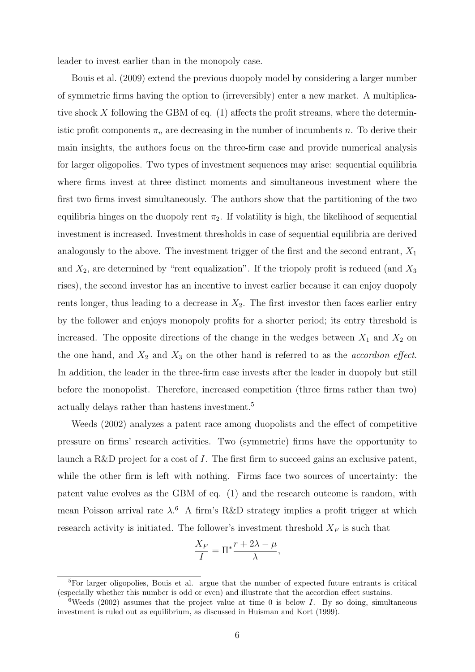leader to invest earlier than in the monopoly case.

Bouis et al. (2009) extend the previous duopoly model by considering a larger number of symmetric firms having the option to (irreversibly) enter a new market. A multiplicative shock X following the GBM of eq.  $(1)$  affects the profit streams, where the deterministic profit components  $\pi_n$  are decreasing in the number of incumbents n. To derive their main insights, the authors focus on the three-firm case and provide numerical analysis for larger oligopolies. Two types of investment sequences may arise: sequential equilibria where firms invest at three distinct moments and simultaneous investment where the first two firms invest simultaneously. The authors show that the partitioning of the two equilibria hinges on the duopoly rent  $\pi_2$ . If volatility is high, the likelihood of sequential investment is increased. Investment thresholds in case of sequential equilibria are derived analogously to the above. The investment trigger of the first and the second entrant,  $X_1$ and  $X_2$ , are determined by "rent equalization". If the triopoly profit is reduced (and  $X_3$ ) rises), the second investor has an incentive to invest earlier because it can enjoy duopoly rents longer, thus leading to a decrease in  $X_2$ . The first investor then faces earlier entry by the follower and enjoys monopoly profits for a shorter period; its entry threshold is increased. The opposite directions of the change in the wedges between  $X_1$  and  $X_2$  on the one hand, and  $X_2$  and  $X_3$  on the other hand is referred to as the *accordion effect*. In addition, the leader in the three-firm case invests after the leader in duopoly but still before the monopolist. Therefore, increased competition (three firms rather than two) actually delays rather than hastens investment.<sup>5</sup>

Weeds (2002) analyzes a patent race among duopolists and the effect of competitive pressure on firms' research activities. Two (symmetric) firms have the opportunity to launch a R&D project for a cost of I. The first firm to succeed gains an exclusive patent, while the other firm is left with nothing. Firms face two sources of uncertainty: the patent value evolves as the GBM of eq. (1) and the research outcome is random, with mean Poisson arrival rate  $\lambda$ <sup>6</sup> A firm's R&D strategy implies a profit trigger at which research activity is initiated. The follower's investment threshold  $X_F$  is such that

$$
\frac{X_F}{I} = \Pi^* \frac{r + 2\lambda - \mu}{\lambda},
$$

<sup>5</sup>For larger oligopolies, Bouis et al. argue that the number of expected future entrants is critical (especially whether this number is odd or even) and illustrate that the accordion effect sustains.

<sup>&</sup>lt;sup>6</sup>Weeds (2002) assumes that the project value at time 0 is below I. By so doing, simultaneous investment is ruled out as equilibrium, as discussed in Huisman and Kort (1999).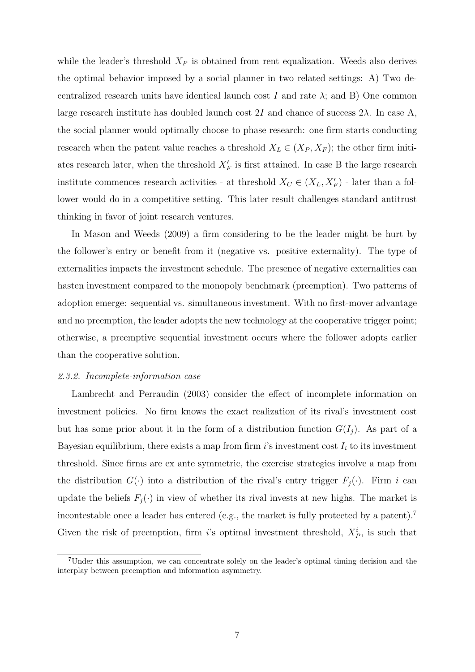while the leader's threshold  $X_P$  is obtained from rent equalization. Weeds also derives the optimal behavior imposed by a social planner in two related settings: A) Two decentralized research units have identical launch cost I and rate  $\lambda$ ; and B) One common large research institute has doubled launch cost 2I and chance of success  $2\lambda$ . In case A, the social planner would optimally choose to phase research: one firm starts conducting research when the patent value reaches a threshold  $X_L \in (X_P, X_F)$ ; the other firm initiates research later, when the threshold  $X_F'$  is first attained. In case B the large research institute commences research activities - at threshold  $X_C \in (X_L, X_F')$  - later than a follower would do in a competitive setting. This later result challenges standard antitrust thinking in favor of joint research ventures.

In Mason and Weeds (2009) a firm considering to be the leader might be hurt by the follower's entry or benefit from it (negative vs. positive externality). The type of externalities impacts the investment schedule. The presence of negative externalities can hasten investment compared to the monopoly benchmark (preemption). Two patterns of adoption emerge: sequential vs. simultaneous investment. With no first-mover advantage and no preemption, the leader adopts the new technology at the cooperative trigger point; otherwise, a preemptive sequential investment occurs where the follower adopts earlier than the cooperative solution.

#### 2.3.2. Incomplete-information case

Lambrecht and Perraudin (2003) consider the effect of incomplete information on investment policies. No firm knows the exact realization of its rival's investment cost but has some prior about it in the form of a distribution function  $G(I_j)$ . As part of a Bayesian equilibrium, there exists a map from firm  $i$ 's investment cost  $I_i$  to its investment threshold. Since firms are ex ante symmetric, the exercise strategies involve a map from the distribution  $G(\cdot)$  into a distribution of the rival's entry trigger  $F_j(\cdot)$ . Firm i can update the beliefs  $F_j(\cdot)$  in view of whether its rival invests at new highs. The market is incontestable once a leader has entered (e.g., the market is fully protected by a patent).<sup>7</sup> Given the risk of preemption, firm i's optimal investment threshold,  $X_P^i$ , is such that

<sup>7</sup>Under this assumption, we can concentrate solely on the leader's optimal timing decision and the interplay between preemption and information asymmetry.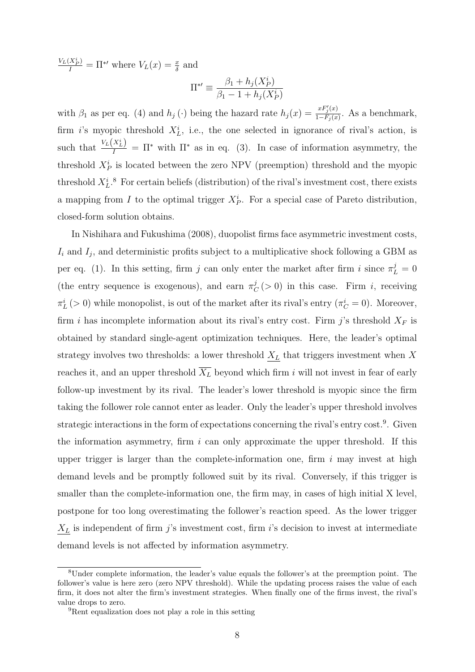$\frac{V_L(X_P^i)}{I} = \Pi^{*'}$  where  $V_L(x) = \frac{x}{\delta}$  and

$$
\Pi^{*\prime} \equiv \frac{\beta_1 + h_j(X_P^i)}{\beta_1 - 1 + h_j(X_P^i)}
$$

with  $\beta_1$  as per eq. (4) and  $h_j(\cdot)$  being the hazard rate  $h_j(x) = \frac{xF'_j(x)}{1-F_0(x)}$  $\frac{Tr_j(x)}{1-F_j(x)}$ . As a benchmark, firm *i*'s myopic threshold  $X_L^i$ , i.e., the one selected in ignorance of rival's action, is such that  $\frac{V_L(X_L^i)}{I} = \Pi^*$  with  $\Pi^*$  as in eq. (3). In case of information asymmetry, the threshold  $X_P^i$  is located between the zero NPV (preemption) threshold and the myopic threshold  $X_L^i$ .<sup>8</sup> For certain beliefs (distribution) of the rival's investment cost, there exists a mapping from I to the optimal trigger  $X_P^i$ . For a special case of Pareto distribution, closed-form solution obtains.

In Nishihara and Fukushima (2008), duopolist firms face asymmetric investment costs,  $I_i$  and  $I_j$ , and deterministic profits subject to a multiplicative shock following a GBM as per eq. (1). In this setting, firm j can only enter the market after firm i since  $\pi_L^j = 0$ (the entry sequence is exogenous), and earn  $\pi_{\mathcal{C}}^{j}$  $C<sub>C</sub>(>0)$  in this case. Firm *i*, receiving  $\pi_L^i$  (> 0) while monopolist, is out of the market after its rival's entry ( $\pi_C^i = 0$ ). Moreover, firm i has incomplete information about its rival's entry cost. Firm j's threshold  $X_F$  is obtained by standard single-agent optimization techniques. Here, the leader's optimal strategy involves two thresholds: a lower threshold  $\underline{X_L}$  that triggers investment when X reaches it, and an upper threshold  $\overline{X_L}$  beyond which firm i will not invest in fear of early follow-up investment by its rival. The leader's lower threshold is myopic since the firm taking the follower role cannot enter as leader. Only the leader's upper threshold involves strategic interactions in the form of expectations concerning the rival's entry cost.<sup>9</sup>. Given the information asymmetry, firm  $i$  can only approximate the upper threshold. If this upper trigger is larger than the complete-information one, firm  $i$  may invest at high demand levels and be promptly followed suit by its rival. Conversely, if this trigger is smaller than the complete-information one, the firm may, in cases of high initial X level, postpone for too long overestimating the follower's reaction speed. As the lower trigger  $\underline{X_L}$  is independent of firm j's investment cost, firm i's decision to invest at intermediate demand levels is not affected by information asymmetry.

<sup>8</sup>Under complete information, the leader's value equals the follower's at the preemption point. The follower's value is here zero (zero NPV threshold). While the updating process raises the value of each firm, it does not alter the firm's investment strategies. When finally one of the firms invest, the rival's value drops to zero.

<sup>9</sup>Rent equalization does not play a role in this setting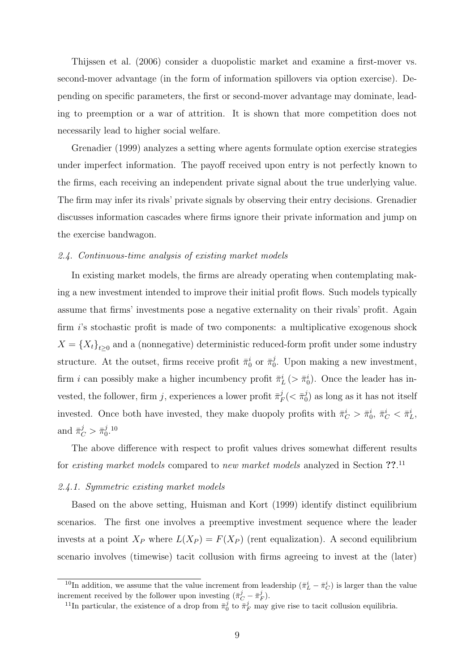Thijssen et al. (2006) consider a duopolistic market and examine a first-mover vs. second-mover advantage (in the form of information spillovers via option exercise). Depending on specific parameters, the first or second-mover advantage may dominate, leading to preemption or a war of attrition. It is shown that more competition does not necessarily lead to higher social welfare.

Grenadier (1999) analyzes a setting where agents formulate option exercise strategies under imperfect information. The payoff received upon entry is not perfectly known to the firms, each receiving an independent private signal about the true underlying value. The firm may infer its rivals' private signals by observing their entry decisions. Grenadier discusses information cascades where firms ignore their private information and jump on the exercise bandwagon.

#### 2.4. Continuous-time analysis of existing market models

In existing market models, the firms are already operating when contemplating making a new investment intended to improve their initial profit flows. Such models typically assume that firms' investments pose a negative externality on their rivals' profit. Again firm i's stochastic profit is made of two components: a multiplicative exogenous shock  $X = \{X_t\}_{t\geq 0}$  and a (nonnegative) deterministic reduced-form profit under some industry structure. At the outset, firms receive profit  $\bar{\pi}_0^i$  or  $\bar{\pi}_0^j$  $_{0}^{j}$ . Upon making a new investment, firm *i* can possibly make a higher incumbency profit  $\bar{\pi}_L^i$  ( $> \bar{\pi}_0^i$ ). Once the leader has invested, the follower, firm j, experiences a lower profit  $\bar{\pi}_I^j$  $\frac{j}{F}(<\bar{\pi}_0^j$  $\binom{J}{0}$  as long as it has not itself invested. Once both have invested, they make duopoly profits with  $\bar{\pi}_C^i > \bar{\pi}_0^i$ ,  $\bar{\pi}_C^i < \bar{\pi}_L^i$ , and  $\bar{\pi}_C^j > \bar{\pi}_0^j$  $_{0}^{j}$ . 10

The above difference with respect to profit values drives somewhat different results for existing market models compared to new market models analyzed in Section ??.<sup>11</sup>

#### 2.4.1. Symmetric existing market models

Based on the above setting, Huisman and Kort (1999) identify distinct equilibrium scenarios. The first one involves a preemptive investment sequence where the leader invests at a point  $X_P$  where  $L(X_P) = F(X_P)$  (rent equalization). A second equilibrium scenario involves (timewise) tacit collusion with firms agreeing to invest at the (later)

<sup>&</sup>lt;sup>10</sup>In addition, we assume that the value increment from leadership  $(\bar{\pi}_L^i - \bar{\pi}_C^i)$  is larger than the value increment received by the follower upon investing  $(\bar{\pi}_C^j - \bar{\pi}_F^j)$ .

<sup>&</sup>lt;sup>11</sup>In particular, the existence of a drop from  $\bar{\pi}_0^j$  to  $\bar{\pi}_F^j$  may give rise to tacit collusion equilibria.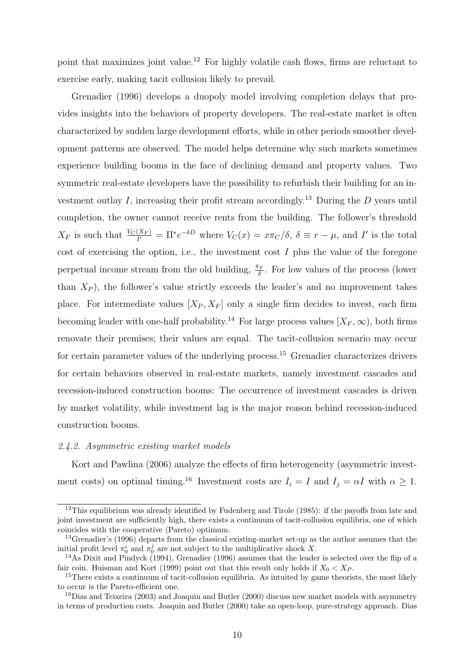point that maximizes joint value.<sup>12</sup> For highly volatile cash flows, firms are reluctant to exercise early, making tacit collusion likely to prevail.

Grenadier (1996) develops a duopoly model involving completion delays that provides insights into the behaviors of property developers. The real-estate market is often characterized by sudden large development efforts, while in other periods smoother development patterns are observed. The model helps determine why such markets sometimes experience building booms in the face of declining demand and property values. Two symmetric real-estate developers have the possibility to refurbish their building for an investment outlay I, increasing their profit stream accordingly.<sup>13</sup> During the D years until completion, the owner cannot receive rents from the building. The follower's threshold  $X_F$  is such that  $\frac{V_C(X_F)}{I'} = \Pi^* e^{-\delta D}$  where  $V_C(x) = x\pi_C/\delta$ ,  $\delta \equiv r - \mu$ , and I' is the total cost of exercising the option, i.e., the investment cost  $I$  plus the value of the foregone perpetual income stream from the old building,  $\frac{\bar{\pi}_F}{\delta}$ . For low values of the process (lower than  $X<sub>P</sub>$ ), the follower's value strictly exceeds the leader's and no improvement takes place. For intermediate values  $[X_P, X_F]$  only a single firm decides to invest, each firm becoming leader with one-half probability.<sup>14</sup> For large process values  $[X_F, \infty)$ , both firms renovate their premises; their values are equal. The tacit-collusion scenario may occur for certain parameter values of the underlying process.<sup>15</sup> Grenadier characterizes drivers for certain behaviors observed in real-estate markets, namely investment cascades and recession-induced construction booms: The occurrence of investment cascades is driven by market volatility, while investment lag is the major reason behind recession-induced construction booms.

#### 2.4.2. Asymmetric existing market models

Kort and Pawlina (2006) analyze the effects of firm heterogeneity (asymmetric investment costs) on optimal timing.<sup>16</sup> Investment costs are  $I_i = I$  and  $I_j = \alpha I$  with  $\alpha \geq 1$ .

 $12$ This equilibrium was already identified by Fudenberg and Tirole (1985): if the payoffs from late and joint investment are sufficiently high, there exists a continuum of tacit-collusion equilibria, one of which coincides with the cooperative (Pareto) optimum.

<sup>&</sup>lt;sup>13</sup>Grenadier's (1996) departs from the classical existing-market set-up as the author assumes that the initial profit level  $\pi_0^i$  and  $\pi_0^j$  are not subject to the multiplicative shock X.

<sup>14</sup>As Dixit and Pindyck (1994), Grenadier (1996) assumes that the leader is selected over the flip of a fair coin. Huisman and Kort (1999) point out that this result only holds if  $X_0 < X_P$ .

<sup>&</sup>lt;sup>15</sup>There exists a continuum of tacit-collusion equilibria. As intuited by game theorists, the most likely to occur is the Pareto-efficient one.

 $^{16}$ Dias and Teixeira (2003) and Joaquin and Butler (2000) discuss new market models with asymmetry in terms of production costs. Joaquin and Butler (2000) take an open-loop, pure-strategy approach. Dias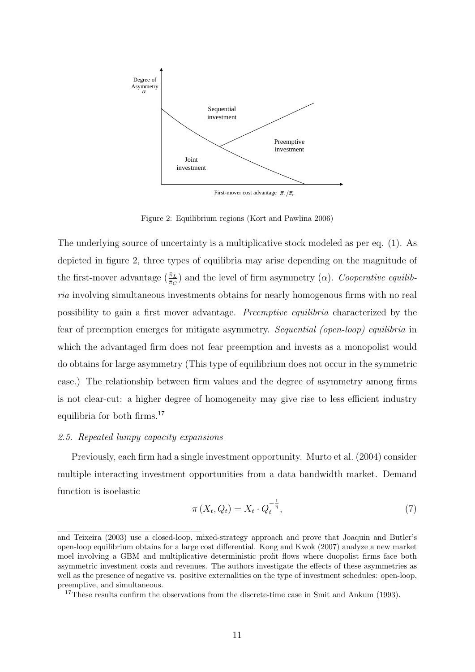

Figure 2: Equilibrium regions (Kort and Pawlina 2006)

The underlying source of uncertainty is a multiplicative stock modeled as per eq. (1). As depicted in figure 2, three types of equilibria may arise depending on the magnitude of the first-mover advantage  $(\frac{\bar{\pi}_L}{\bar{\pi}_C})$  and the level of firm asymmetry  $(\alpha)$ . Cooperative equilibria involving simultaneous investments obtains for nearly homogenous firms with no real possibility to gain a first mover advantage. Preemptive equilibria characterized by the fear of preemption emerges for mitigate asymmetry. Sequential (open-loop) equilibria in which the advantaged firm does not fear preemption and invests as a monopolist would do obtains for large asymmetry (This type of equilibrium does not occur in the symmetric case.) The relationship between firm values and the degree of asymmetry among firms is not clear-cut: a higher degree of homogeneity may give rise to less efficient industry equilibria for both firms.<sup>17</sup>

#### 2.5. Repeated lumpy capacity expansions

Previously, each firm had a single investment opportunity. Murto et al. (2004) consider multiple interacting investment opportunities from a data bandwidth market. Demand function is isoelastic

$$
\pi\left(X_t, Q_t\right) = X_t \cdot Q_t^{-\frac{1}{\eta}},\tag{7}
$$

and Teixeira (2003) use a closed-loop, mixed-strategy approach and prove that Joaquin and Butler's open-loop equilibrium obtains for a large cost differential. Kong and Kwok (2007) analyze a new market moel involving a GBM and multiplicative deterministic profit flows where duopolist firms face both asymmetric investment costs and revenues. The authors investigate the effects of these asymmetries as well as the presence of negative vs. positive externalities on the type of investment schedules: open-loop, preemptive, and simultaneous.

<sup>&</sup>lt;sup>17</sup>These results confirm the observations from the discrete-time case in Smit and Ankum (1993).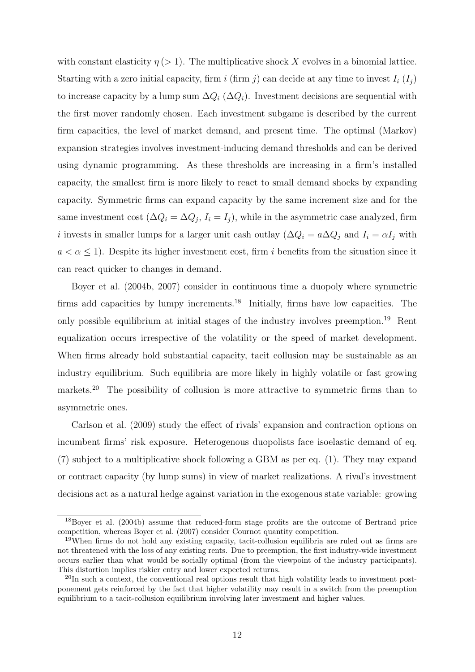with constant elasticity  $\eta$  (> 1). The multiplicative shock X evolves in a binomial lattice. Starting with a zero initial capacity, firm i (firm j) can decide at any time to invest  $I_i(I_j)$ to increase capacity by a lump sum  $\Delta Q_i$  ( $\Delta Q_i$ ). Investment decisions are sequential with the first mover randomly chosen. Each investment subgame is described by the current firm capacities, the level of market demand, and present time. The optimal (Markov) expansion strategies involves investment-inducing demand thresholds and can be derived using dynamic programming. As these thresholds are increasing in a firm's installed capacity, the smallest firm is more likely to react to small demand shocks by expanding capacity. Symmetric firms can expand capacity by the same increment size and for the same investment cost  $(\Delta Q_i = \Delta Q_j, I_i = I_j)$ , while in the asymmetric case analyzed, firm i invests in smaller lumps for a larger unit cash outlay ( $\Delta Q_i = a \Delta Q_j$  and  $I_i = \alpha I_j$  with  $a < \alpha \leq 1$ ). Despite its higher investment cost, firm i benefits from the situation since it can react quicker to changes in demand.

Boyer et al. (2004b, 2007) consider in continuous time a duopoly where symmetric firms add capacities by lumpy increments.<sup>18</sup> Initially, firms have low capacities. The only possible equilibrium at initial stages of the industry involves preemption.<sup>19</sup> Rent equalization occurs irrespective of the volatility or the speed of market development. When firms already hold substantial capacity, tacit collusion may be sustainable as an industry equilibrium. Such equilibria are more likely in highly volatile or fast growing markets.<sup>20</sup> The possibility of collusion is more attractive to symmetric firms than to asymmetric ones.

Carlson et al. (2009) study the effect of rivals' expansion and contraction options on incumbent firms' risk exposure. Heterogenous duopolists face isoelastic demand of eq. (7) subject to a multiplicative shock following a GBM as per eq. (1). They may expand or contract capacity (by lump sums) in view of market realizations. A rival's investment decisions act as a natural hedge against variation in the exogenous state variable: growing

<sup>&</sup>lt;sup>18</sup>Boyer et al. (2004b) assume that reduced-form stage profits are the outcome of Bertrand price competition, whereas Boyer et al. (2007) consider Cournot quantity competition.

<sup>19</sup>When firms do not hold any existing capacity, tacit-collusion equilibria are ruled out as firms are not threatened with the loss of any existing rents. Due to preemption, the first industry-wide investment occurs earlier than what would be socially optimal (from the viewpoint of the industry participants). This distortion implies riskier entry and lower expected returns.

<sup>&</sup>lt;sup>20</sup>In such a context, the conventional real options result that high volatility leads to investment postponement gets reinforced by the fact that higher volatility may result in a switch from the preemption equilibrium to a tacit-collusion equilibrium involving later investment and higher values.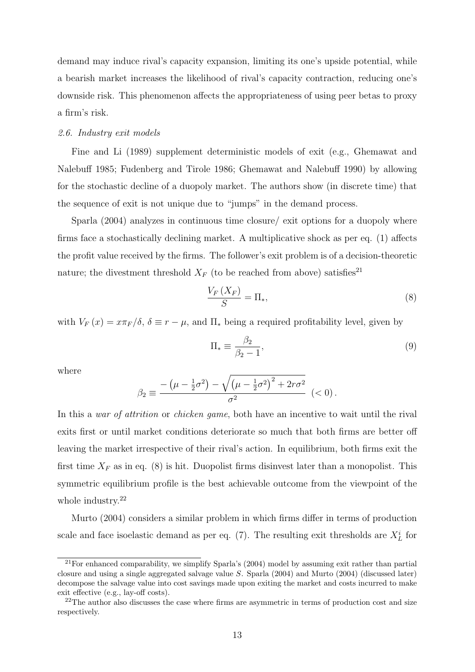demand may induce rival's capacity expansion, limiting its one's upside potential, while a bearish market increases the likelihood of rival's capacity contraction, reducing one's downside risk. This phenomenon affects the appropriateness of using peer betas to proxy a firm's risk.

#### 2.6. Industry exit models

Fine and Li (1989) supplement deterministic models of exit (e.g., Ghemawat and Nalebuff 1985; Fudenberg and Tirole 1986; Ghemawat and Nalebuff 1990) by allowing for the stochastic decline of a duopoly market. The authors show (in discrete time) that the sequence of exit is not unique due to "jumps" in the demand process.

Sparla (2004) analyzes in continuous time closure/ exit options for a duopoly where firms face a stochastically declining market. A multiplicative shock as per eq. (1) affects the profit value received by the firms. The follower's exit problem is of a decision-theoretic nature; the divestment threshold  $X_F$  (to be reached from above) satisfies<sup>21</sup>

$$
\frac{V_F\left(X_F\right)}{S} = \Pi_*,\tag{8}
$$

with  $V_F(x) = x\pi_F/\delta$ ,  $\delta \equiv r - \mu$ , and  $\Pi_*$  being a required profitability level, given by

$$
\Pi_* \equiv \frac{\beta_2}{\beta_2 - 1},\tag{9}
$$

where

$$
\beta_2 \equiv \frac{-(\mu - \frac{1}{2}\sigma^2) - \sqrt{(\mu - \frac{1}{2}\sigma^2)^2 + 2r\sigma^2}}{\sigma^2} \quad (<0).
$$

In this a war of attrition or chicken game, both have an incentive to wait until the rival exits first or until market conditions deteriorate so much that both firms are better off leaving the market irrespective of their rival's action. In equilibrium, both firms exit the first time  $X_F$  as in eq. (8) is hit. Duopolist firms disinvest later than a monopolist. This symmetric equilibrium profile is the best achievable outcome from the viewpoint of the whole industry.<sup>22</sup>

Murto (2004) considers a similar problem in which firms differ in terms of production scale and face isoelastic demand as per eq. (7). The resulting exit thresholds are  $X_L^i$  for

 $21$  For enhanced comparability, we simplify Sparla's (2004) model by assuming exit rather than partial closure and using a single aggregated salvage value S. Sparla (2004) and Murto (2004) (discussed later) decompose the salvage value into cost savings made upon exiting the market and costs incurred to make exit effective (e.g., lay-off costs).

<sup>&</sup>lt;sup>22</sup>The author also discusses the case where firms are asymmetric in terms of production cost and size respectively.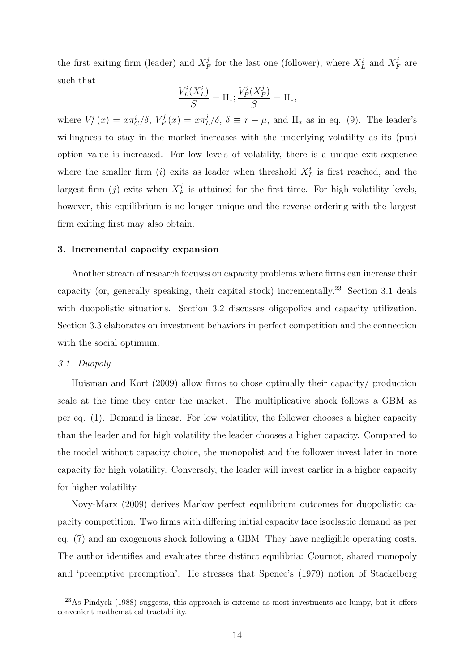the first exiting firm (leader) and  $X_i^j$  $\frac{j}{F}$  for the last one (follower), where  $X_L^i$  and  $X_I^j$  $\frac{\jmath}{F}$  are such that

$$
\frac{V_L^i(X_L^i)}{S} = \Pi_*; \frac{V_F^j(X_F^j)}{S} = \Pi_*,
$$

where  $V^i_L(x) = x\pi^i_C/\delta, V^j_F$  $Y_F^j(x) = x \pi_I^j$  $L^{\jmath}/\delta$ ,  $\delta \equiv r - \mu$ , and  $\Pi_*$  as in eq. (9). The leader's willingness to stay in the market increases with the underlying volatility as its (put) option value is increased. For low levels of volatility, there is a unique exit sequence where the smaller firm (*i*) exits as leader when threshold  $X_L^i$  is first reached, and the largest firm  $(j)$  exits when  $X<sub>F</sub><sup>j</sup>$  $\frac{J}{F}$  is attained for the first time. For high volatility levels, however, this equilibrium is no longer unique and the reverse ordering with the largest firm exiting first may also obtain.

#### 3. Incremental capacity expansion

Another stream of research focuses on capacity problems where firms can increase their capacity (or, generally speaking, their capital stock) incrementally.<sup>23</sup> Section 3.1 deals with duopolistic situations. Section 3.2 discusses oligopolies and capacity utilization. Section 3.3 elaborates on investment behaviors in perfect competition and the connection with the social optimum.

## 3.1. Duopoly

Huisman and Kort (2009) allow firms to chose optimally their capacity/ production scale at the time they enter the market. The multiplicative shock follows a GBM as per eq. (1). Demand is linear. For low volatility, the follower chooses a higher capacity than the leader and for high volatility the leader chooses a higher capacity. Compared to the model without capacity choice, the monopolist and the follower invest later in more capacity for high volatility. Conversely, the leader will invest earlier in a higher capacity for higher volatility.

Novy-Marx (2009) derives Markov perfect equilibrium outcomes for duopolistic capacity competition. Two firms with differing initial capacity face isoelastic demand as per eq. (7) and an exogenous shock following a GBM. They have negligible operating costs. The author identifies and evaluates three distinct equilibria: Cournot, shared monopoly and 'preemptive preemption'. He stresses that Spence's (1979) notion of Stackelberg

<sup>23</sup>As Pindyck (1988) suggests, this approach is extreme as most investments are lumpy, but it offers convenient mathematical tractability.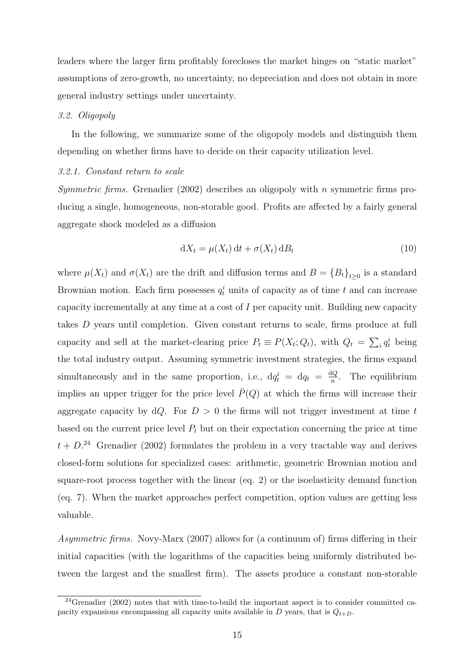leaders where the larger firm profitably forecloses the market hinges on "static market" assumptions of zero-growth, no uncertainty, no depreciation and does not obtain in more general industry settings under uncertainty.

#### 3.2. Oligopoly

In the following, we summarize some of the oligopoly models and distinguish them depending on whether firms have to decide on their capacity utilization level.

#### 3.2.1. Constant return to scale

*Symmetric firms.* Grenadier (2002) describes an oligopoly with n symmetric firms producing a single, homogeneous, non-storable good. Profits are affected by a fairly general aggregate shock modeled as a diffusion

$$
dX_t = \mu(X_t) dt + \sigma(X_t) dB_t
$$
\n(10)

where  $\mu(X_t)$  and  $\sigma(X_t)$  are the drift and diffusion terms and  $B = \{B_t\}_{t\geq 0}$  is a standard Brownian motion. Each firm possesses  $q_t^i$  units of capacity as of time t and can increase capacity incrementally at any time at a cost of I per capacity unit. Building new capacity takes D years until completion. Given constant returns to scale, firms produce at full capacity and sell at the market-clearing price  $P_t \equiv P(X_t; Q_t)$ , with  $Q_t = \sum_i q_t^i$  being the total industry output. Assuming symmetric investment strategies, the firms expand simultaneously and in the same proportion, i.e.,  $dq_t^i = dq_t = \frac{dQ}{n}$  $\frac{dQ}{n}$ . The equilibrium implies an upper trigger for the price level  $\bar{P}(Q)$  at which the firms will increase their aggregate capacity by  $dQ$ . For  $D > 0$  the firms will not trigger investment at time t based on the current price level  $P_t$  but on their expectation concerning the price at time  $t + D<sup>24</sup>$  Grenadier (2002) formulates the problem in a very tractable way and derives closed-form solutions for specialized cases: arithmetic, geometric Brownian motion and square-root process together with the linear (eq. 2) or the isoelasticity demand function (eq. 7). When the market approaches perfect competition, option values are getting less valuable.

Asymmetric firms. Novy-Marx (2007) allows for (a continuum of) firms differing in their initial capacities (with the logarithms of the capacities being uniformly distributed between the largest and the smallest firm). The assets produce a constant non-storable

<sup>24</sup>Grenadier (2002) notes that with time-to-build the important aspect is to consider committed capacity expansions encompassing all capacity units available in  $D$  years, that is  $Q_{t+D}$ .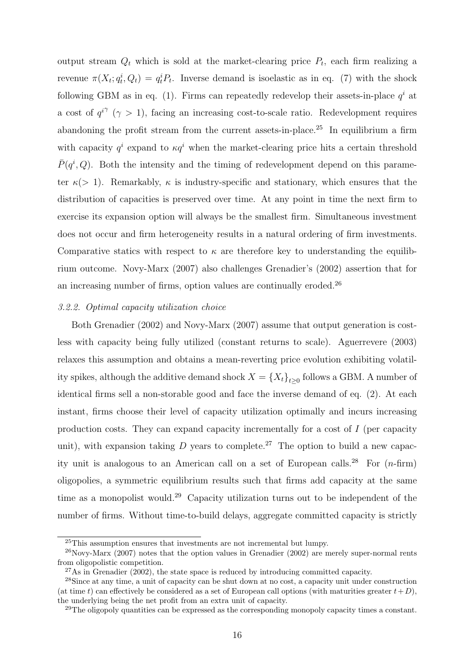output stream  $Q_t$  which is sold at the market-clearing price  $P_t$ , each firm realizing a revenue  $\pi(X_t; q_t^i, Q_t) = q_t^i P_t$ . Inverse demand is isoelastic as in eq. (7) with the shock following GBM as in eq. (1). Firms can repeatedly redevelop their assets-in-place  $q<sup>i</sup>$  at a cost of  $q^{i\gamma}$  ( $\gamma > 1$ ), facing an increasing cost-to-scale ratio. Redevelopment requires abandoning the profit stream from the current assets-in-place.<sup>25</sup> In equilibrium a firm with capacity  $q^i$  expand to  $\kappa q^i$  when the market-clearing price hits a certain threshold  $\bar{P}(q^i, Q)$ . Both the intensity and the timing of redevelopment depend on this parameter  $\kappa$  (> 1). Remarkably,  $\kappa$  is industry-specific and stationary, which ensures that the distribution of capacities is preserved over time. At any point in time the next firm to exercise its expansion option will always be the smallest firm. Simultaneous investment does not occur and firm heterogeneity results in a natural ordering of firm investments. Comparative statics with respect to  $\kappa$  are therefore key to understanding the equilibrium outcome. Novy-Marx (2007) also challenges Grenadier's (2002) assertion that for an increasing number of firms, option values are continually eroded.<sup>26</sup>

#### 3.2.2. Optimal capacity utilization choice

Both Grenadier (2002) and Novy-Marx (2007) assume that output generation is costless with capacity being fully utilized (constant returns to scale). Aguerrevere (2003) relaxes this assumption and obtains a mean-reverting price evolution exhibiting volatility spikes, although the additive demand shock  $X = \{X_t\}_{t\geq 0}$  follows a GBM. A number of identical firms sell a non-storable good and face the inverse demand of eq. (2). At each instant, firms choose their level of capacity utilization optimally and incurs increasing production costs. They can expand capacity incrementally for a cost of I (per capacity unit), with expansion taking  $D$  years to complete.<sup>27</sup> The option to build a new capacity unit is analogous to an American call on a set of European calls.<sup>28</sup> For  $(n\textrm{-}\mathrm{firm})$ oligopolies, a symmetric equilibrium results such that firms add capacity at the same time as a monopolist would.<sup>29</sup> Capacity utilization turns out to be independent of the number of firms. Without time-to-build delays, aggregate committed capacity is strictly

<sup>&</sup>lt;sup>25</sup>This assumption ensures that investments are not incremental but lumpy.

 $^{26}$ Novy-Marx (2007) notes that the option values in Grenadier (2002) are merely super-normal rents from oligopolistic competition.

 $27\text{As}$  in Grenadier (2002), the state space is reduced by introducing committed capacity.

<sup>28</sup>Since at any time, a unit of capacity can be shut down at no cost, a capacity unit under construction (at time t) can effectively be considered as a set of European call options (with maturities greater  $t+D$ ), the underlying being the net profit from an extra unit of capacity.

<sup>&</sup>lt;sup>29</sup>The oligopoly quantities can be expressed as the corresponding monopoly capacity times a constant.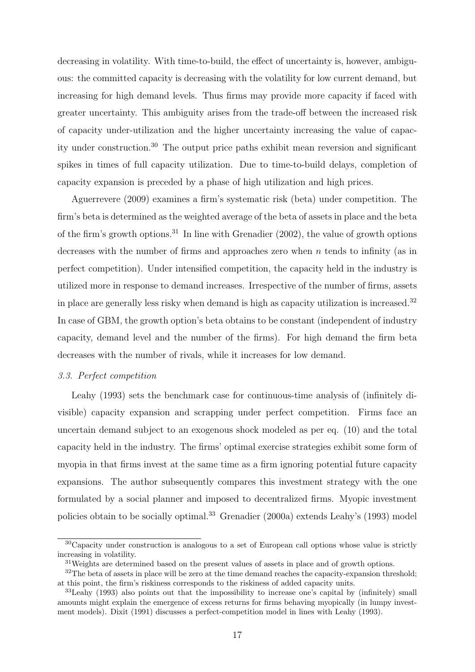decreasing in volatility. With time-to-build, the effect of uncertainty is, however, ambiguous: the committed capacity is decreasing with the volatility for low current demand, but increasing for high demand levels. Thus firms may provide more capacity if faced with greater uncertainty. This ambiguity arises from the trade-off between the increased risk of capacity under-utilization and the higher uncertainty increasing the value of capacity under construction.<sup>30</sup> The output price paths exhibit mean reversion and significant spikes in times of full capacity utilization. Due to time-to-build delays, completion of capacity expansion is preceded by a phase of high utilization and high prices.

Aguerrevere (2009) examines a firm's systematic risk (beta) under competition. The firm's beta is determined as the weighted average of the beta of assets in place and the beta of the firm's growth options.<sup>31</sup> In line with Grenadier  $(2002)$ , the value of growth options decreases with the number of firms and approaches zero when  $n$  tends to infinity (as in perfect competition). Under intensified competition, the capacity held in the industry is utilized more in response to demand increases. Irrespective of the number of firms, assets in place are generally less risky when demand is high as capacity utilization is increased.<sup>32</sup> In case of GBM, the growth option's beta obtains to be constant (independent of industry capacity, demand level and the number of the firms). For high demand the firm beta decreases with the number of rivals, while it increases for low demand.

#### 3.3. Perfect competition

Leahy (1993) sets the benchmark case for continuous-time analysis of (infinitely divisible) capacity expansion and scrapping under perfect competition. Firms face an uncertain demand subject to an exogenous shock modeled as per eq. (10) and the total capacity held in the industry. The firms' optimal exercise strategies exhibit some form of myopia in that firms invest at the same time as a firm ignoring potential future capacity expansions. The author subsequently compares this investment strategy with the one formulated by a social planner and imposed to decentralized firms. Myopic investment policies obtain to be socially optimal.<sup>33</sup> Grenadier (2000a) extends Leahy's (1993) model

 $30C$ apacity under construction is analogous to a set of European call options whose value is strictly increasing in volatility.

<sup>&</sup>lt;sup>31</sup>Weights are determined based on the present values of assets in place and of growth options.

 $32$ The beta of assets in place will be zero at the time demand reaches the capacity-expansion threshold; at this point, the firm's riskiness corresponds to the riskiness of added capacity units.

<sup>33</sup>Leahy (1993) also points out that the impossibility to increase one's capital by (infinitely) small amounts might explain the emergence of excess returns for firms behaving myopically (in lumpy investment models). Dixit (1991) discusses a perfect-competition model in lines with Leahy (1993).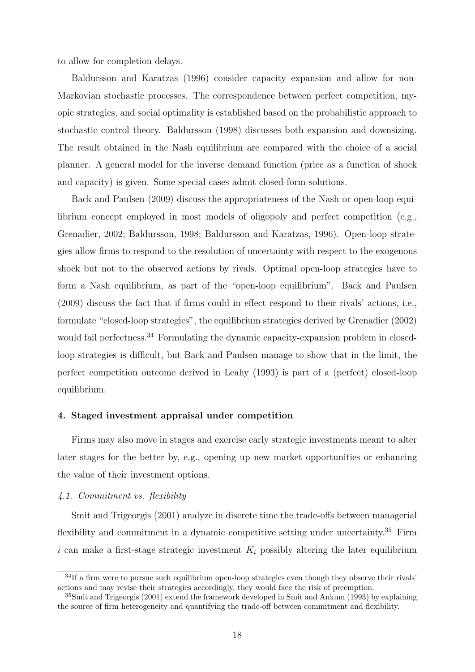to allow for completion delays.

Baldursson and Karatzas (1996) consider capacity expansion and allow for non-Markovian stochastic processes. The correspondence between perfect competition, myopic strategies, and social optimality is established based on the probabilistic approach to stochastic control theory. Baldursson (1998) discusses both expansion and downsizing. The result obtained in the Nash equilibrium are compared with the choice of a social planner. A general model for the inverse demand function (price as a function of shock and capacity) is given. Some special cases admit closed-form solutions.

Back and Paulsen (2009) discuss the appropriateness of the Nash or open-loop equilibrium concept employed in most models of oligopoly and perfect competition (e.g., Grenadier, 2002; Baldursson, 1998; Baldursson and Karatzas, 1996). Open-loop strategies allow firms to respond to the resolution of uncertainty with respect to the exogenous shock but not to the observed actions by rivals. Optimal open-loop strategies have to form a Nash equilibrium, as part of the "open-loop equilibrium". Back and Paulsen (2009) discuss the fact that if firms could in effect respond to their rivals' actions, i.e., formulate "closed-loop strategies", the equilibrium strategies derived by Grenadier (2002) would fail perfectness.<sup>34</sup> Formulating the dynamic capacity-expansion problem in closedloop strategies is difficult, but Back and Paulsen manage to show that in the limit, the perfect competition outcome derived in Leahy (1993) is part of a (perfect) closed-loop equilibrium.

## 4. Staged investment appraisal under competition

Firms may also move in stages and exercise early strategic investments meant to alter later stages for the better by, e.g., opening up new market opportunities or enhancing the value of their investment options.

## 4.1. Commitment vs. flexibility

Smit and Trigeorgis (2001) analyze in discrete time the trade-offs between managerial flexibility and commitment in a dynamic competitive setting under uncertainty.<sup>35</sup> Firm i can make a first-stage strategic investment  $K_i$  possibly altering the later equilibrium

<sup>&</sup>lt;sup>34</sup>If a firm were to pursue such equilibrium open-loop strategies even though they observe their rivals' actions and may revise their strategies accordingly, they would face the risk of preemption.

<sup>35</sup>Smit and Trigeorgis (2001) extend the framework developed in Smit and Ankum (1993) by explaining the source of firm heterogeneity and quantifying the trade-off between commitment and flexibility.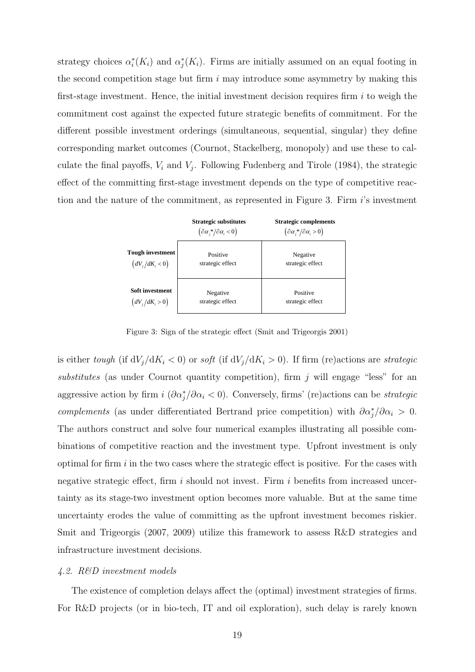strategy choices  $\alpha_i^*(K_i)$  and  $\alpha_j^*(K_i)$ . Firms are initially assumed on an equal footing in the second competition stage but firm  $i$  may introduce some asymmetry by making this first-stage investment. Hence, the initial investment decision requires firm  $i$  to weigh the commitment cost against the expected future strategic benefits of commitment. For the different possible investment orderings (simultaneous, sequential, singular) they define corresponding market outcomes (Cournot, Stackelberg, monopoly) and use these to calculate the final payoffs,  $V_i$  and  $V_j$ . Following Fudenberg and Tirole (1984), the strategic effect of the committing first-stage investment depends on the type of competitive reaction and the nature of the commitment, as represented in Figure 3. Firm i's investment



Figure 3: Sign of the strategic effect (Smit and Trigeorgis 2001)

is either tough (if  $dV_j/dK_i < 0$ ) or soft (if  $dV_j/dK_i > 0$ ). If firm (re)actions are strategic substitutes (as under Cournot quantity competition), firm  $j$  will engage "less" for an aggressive action by firm  $i \left( \partial \alpha_j^* / \partial \alpha_i \right)$ . Conversely, firms' (re)actions can be *strategic* complements (as under differentiated Bertrand price competition) with  $\partial \alpha_j^* / \partial \alpha_i > 0$ . The authors construct and solve four numerical examples illustrating all possible combinations of competitive reaction and the investment type. Upfront investment is only optimal for firm  $i$  in the two cases where the strategic effect is positive. For the cases with negative strategic effect, firm i should not invest. Firm i benefits from increased uncertainty as its stage-two investment option becomes more valuable. But at the same time uncertainty erodes the value of committing as the upfront investment becomes riskier. Smit and Trigeorgis (2007, 2009) utilize this framework to assess R&D strategies and infrastructure investment decisions.

### 4.2. R&D investment models

The existence of completion delays affect the (optimal) investment strategies of firms. For R&D projects (or in bio-tech, IT and oil exploration), such delay is rarely known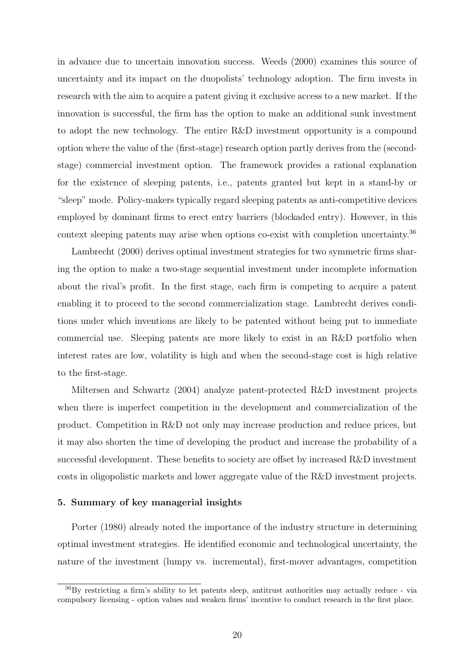in advance due to uncertain innovation success. Weeds (2000) examines this source of uncertainty and its impact on the duopolists' technology adoption. The firm invests in research with the aim to acquire a patent giving it exclusive access to a new market. If the innovation is successful, the firm has the option to make an additional sunk investment to adopt the new technology. The entire R&D investment opportunity is a compound option where the value of the (first-stage) research option partly derives from the (secondstage) commercial investment option. The framework provides a rational explanation for the existence of sleeping patents, i.e., patents granted but kept in a stand-by or "sleep" mode. Policy-makers typically regard sleeping patents as anti-competitive devices employed by dominant firms to erect entry barriers (blockaded entry). However, in this context sleeping patents may arise when options co-exist with completion uncertainty.<sup>36</sup>

Lambrecht (2000) derives optimal investment strategies for two symmetric firms sharing the option to make a two-stage sequential investment under incomplete information about the rival's profit. In the first stage, each firm is competing to acquire a patent enabling it to proceed to the second commercialization stage. Lambrecht derives conditions under which inventions are likely to be patented without being put to immediate commercial use. Sleeping patents are more likely to exist in an R&D portfolio when interest rates are low, volatility is high and when the second-stage cost is high relative to the first-stage.

Miltersen and Schwartz (2004) analyze patent-protected R&D investment projects when there is imperfect competition in the development and commercialization of the product. Competition in R&D not only may increase production and reduce prices, but it may also shorten the time of developing the product and increase the probability of a successful development. These benefits to society are offset by increased R&D investment costs in oligopolistic markets and lower aggregate value of the R&D investment projects.

## 5. Summary of key managerial insights

Porter (1980) already noted the importance of the industry structure in determining optimal investment strategies. He identified economic and technological uncertainty, the nature of the investment (lumpy vs. incremental), first-mover advantages, competition

<sup>36</sup>By restricting a firm's ability to let patents sleep, antitrust authorities may actually reduce - via compulsory licensing - option values and weaken firms' incentive to conduct research in the first place.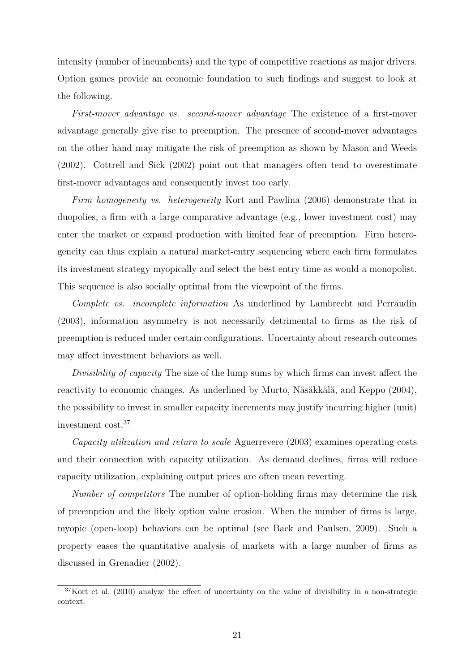intensity (number of incumbents) and the type of competitive reactions as major drivers. Option games provide an economic foundation to such findings and suggest to look at the following.

First-mover advantage vs. second-mover advantage The existence of a first-mover advantage generally give rise to preemption. The presence of second-mover advantages on the other hand may mitigate the risk of preemption as shown by Mason and Weeds (2002). Cottrell and Sick (2002) point out that managers often tend to overestimate first-mover advantages and consequently invest too early.

Firm homogeneity vs. heterogeneity Kort and Pawlina (2006) demonstrate that in duopolies, a firm with a large comparative advantage (e.g., lower investment cost) may enter the market or expand production with limited fear of preemption. Firm heterogeneity can thus explain a natural market-entry sequencing where each firm formulates its investment strategy myopically and select the best entry time as would a monopolist. This sequence is also socially optimal from the viewpoint of the firms.

Complete vs. incomplete information As underlined by Lambrecht and Perraudin (2003), information asymmetry is not necessarily detrimental to firms as the risk of preemption is reduced under certain configurations. Uncertainty about research outcomes may affect investment behaviors as well.

Divisibility of capacity The size of the lump sums by which firms can invest affect the reactivity to economic changes. As underlined by Murto, Näsäkkälä, and Keppo (2004), the possibility to invest in smaller capacity increments may justify incurring higher (unit) investment cost.<sup>37</sup>

Capacity utilization and return to scale Aguerrevere (2003) examines operating costs and their connection with capacity utilization. As demand declines, firms will reduce capacity utilization, explaining output prices are often mean reverting.

Number of competitors The number of option-holding firms may determine the risk of preemption and the likely option value erosion. When the number of firms is large, myopic (open-loop) behaviors can be optimal (see Back and Paulsen, 2009). Such a property eases the quantitative analysis of markets with a large number of firms as discussed in Grenadier (2002).

 $37$ Kort et al. (2010) analyze the effect of uncertainty on the value of divisibility in a non-strategic context.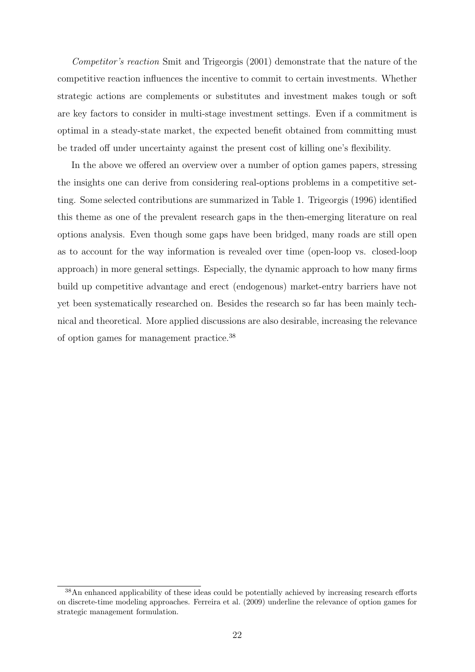Competitor's reaction Smit and Trigeorgis (2001) demonstrate that the nature of the competitive reaction influences the incentive to commit to certain investments. Whether strategic actions are complements or substitutes and investment makes tough or soft are key factors to consider in multi-stage investment settings. Even if a commitment is optimal in a steady-state market, the expected benefit obtained from committing must be traded off under uncertainty against the present cost of killing one's flexibility.

In the above we offered an overview over a number of option games papers, stressing the insights one can derive from considering real-options problems in a competitive setting. Some selected contributions are summarized in Table 1. Trigeorgis (1996) identified this theme as one of the prevalent research gaps in the then-emerging literature on real options analysis. Even though some gaps have been bridged, many roads are still open as to account for the way information is revealed over time (open-loop vs. closed-loop approach) in more general settings. Especially, the dynamic approach to how many firms build up competitive advantage and erect (endogenous) market-entry barriers have not yet been systematically researched on. Besides the research so far has been mainly technical and theoretical. More applied discussions are also desirable, increasing the relevance of option games for management practice.<sup>38</sup>

<sup>38</sup>An enhanced applicability of these ideas could be potentially achieved by increasing research efforts on discrete-time modeling approaches. Ferreira et al. (2009) underline the relevance of option games for strategic management formulation.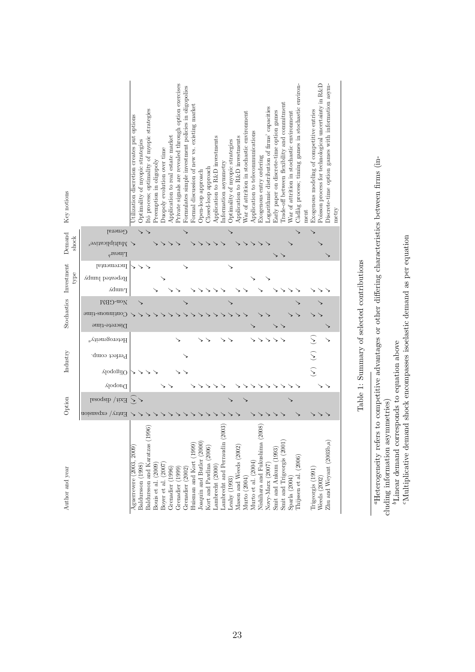| Key notions        |                                                            | Jtilization discretion creates put options | Optimality of myopic strategies | ttó process; optimality of myopic strategies | Preemption in oligopoly | Juopoly evolution over time | Application to real estate market | Private signals are revealed through option exercises                              | Formulates simple investment policies in oligopolies | Formal discussion of new vs. existing market | Open-loop approach        | Closed-loop approach    | Application to R&D investments | Information asymmetry          | Optimality of myopic strategies | Application to R&D investments | War of attrition in stochastic environment | Application to telecommunications | Exogenous entry ordering       | Logarithmic distribution of firms' capacities | Early paper on discrete-time option games                                              | Trade-off between flexibility and commitment | War of attrition in stochastic environment | Cadlag process; timing games in stochastic environ- | nent | Exogenous modeling of competitive entries                            | Poisson process for technological uncertainty in R&D | Discrete-time option games with information asym-<br>metry |  |
|--------------------|------------------------------------------------------------|--------------------------------------------|---------------------------------|----------------------------------------------|-------------------------|-----------------------------|-----------------------------------|------------------------------------------------------------------------------------|------------------------------------------------------|----------------------------------------------|---------------------------|-------------------------|--------------------------------|--------------------------------|---------------------------------|--------------------------------|--------------------------------------------|-----------------------------------|--------------------------------|-----------------------------------------------|----------------------------------------------------------------------------------------|----------------------------------------------|--------------------------------------------|-----------------------------------------------------|------|----------------------------------------------------------------------|------------------------------------------------------|------------------------------------------------------------|--|
|                    | General                                                    |                                            |                                 |                                              |                         |                             |                                   |                                                                                    |                                                      |                                              |                           |                         |                                |                                |                                 |                                |                                            |                                   |                                |                                               |                                                                                        |                                              |                                            |                                                     |      |                                                                      |                                                      |                                                            |  |
| Demand<br>shock    | Multiplicative <sup>c</sup><br>$\Gamma$ inear <sup>b</sup> |                                            |                                 |                                              |                         |                             |                                   |                                                                                    |                                                      |                                              |                           |                         |                                |                                |                                 |                                |                                            |                                   |                                |                                               |                                                                                        |                                              |                                            |                                                     |      |                                                                      |                                                      |                                                            |  |
|                    | Incremental                                                |                                            |                                 |                                              |                         |                             |                                   |                                                                                    |                                                      |                                              |                           |                         |                                |                                |                                 |                                |                                            |                                   |                                |                                               |                                                                                        |                                              |                                            |                                                     |      |                                                                      |                                                      |                                                            |  |
| Investment<br>type | Repeated lumpy                                             |                                            |                                 |                                              |                         |                             |                                   |                                                                                    |                                                      |                                              |                           |                         |                                |                                |                                 |                                |                                            |                                   |                                |                                               |                                                                                        |                                              |                                            |                                                     |      |                                                                      |                                                      |                                                            |  |
|                    | ∩dum                                                       |                                            |                                 |                                              |                         |                             |                                   |                                                                                    |                                                      |                                              |                           |                         |                                |                                |                                 |                                |                                            |                                   |                                |                                               |                                                                                        |                                              |                                            |                                                     |      |                                                                      |                                                      |                                                            |  |
|                    | Non-GBM                                                    |                                            |                                 |                                              |                         |                             |                                   |                                                                                    |                                                      |                                              |                           |                         |                                |                                |                                 |                                |                                            |                                   |                                |                                               |                                                                                        |                                              |                                            |                                                     |      |                                                                      |                                                      |                                                            |  |
| Stochastics        | Continous-time                                             |                                            |                                 |                                              |                         |                             |                                   |                                                                                    |                                                      |                                              |                           |                         |                                |                                |                                 |                                |                                            |                                   |                                |                                               |                                                                                        |                                              |                                            |                                                     |      |                                                                      |                                                      |                                                            |  |
|                    | Discrete-time                                              |                                            |                                 |                                              |                         |                             |                                   |                                                                                    |                                                      |                                              |                           |                         |                                |                                |                                 |                                |                                            |                                   |                                |                                               |                                                                                        |                                              |                                            |                                                     |      |                                                                      |                                                      |                                                            |  |
|                    | Heterogeneity <sup><i>a</i></sup>                          |                                            |                                 |                                              |                         |                             |                                   |                                                                                    |                                                      |                                              |                           |                         |                                |                                |                                 |                                |                                            |                                   |                                |                                               |                                                                                        |                                              |                                            |                                                     |      |                                                                      |                                                      |                                                            |  |
| Industry           | Perfect comp.                                              |                                            |                                 |                                              |                         |                             |                                   |                                                                                    |                                                      |                                              |                           |                         |                                |                                |                                 |                                |                                            |                                   |                                |                                               |                                                                                        |                                              |                                            |                                                     |      |                                                                      |                                                      |                                                            |  |
|                    | VloqogilO                                                  |                                            |                                 |                                              |                         |                             |                                   |                                                                                    |                                                      |                                              |                           |                         |                                |                                |                                 |                                |                                            |                                   |                                |                                               |                                                                                        |                                              |                                            |                                                     |      | S<br>S                                                               |                                                      |                                                            |  |
|                    | ∩uopoly                                                    |                                            |                                 |                                              |                         |                             |                                   |                                                                                    |                                                      |                                              |                           |                         |                                |                                |                                 |                                |                                            |                                   |                                |                                               |                                                                                        |                                              |                                            |                                                     |      |                                                                      |                                                      |                                                            |  |
|                    | Exit/ $\langle$ disposal                                   | $\geq$                                     |                                 |                                              |                         |                             |                                   |                                                                                    |                                                      |                                              |                           |                         |                                |                                |                                 |                                |                                            |                                   |                                |                                               |                                                                                        |                                              |                                            |                                                     |      |                                                                      |                                                      |                                                            |  |
| Option             | Entry / expansion                                          |                                            |                                 |                                              |                         |                             |                                   |                                                                                    |                                                      |                                              |                           |                         |                                |                                |                                 |                                |                                            |                                   |                                |                                               |                                                                                        |                                              |                                            |                                                     |      |                                                                      |                                                      |                                                            |  |
| Author and year    |                                                            | Aguerrevere (2003, 2009)                   | Baldursson (1998)               | Baldursson and Karatzas (1996)               | Bouis et al. (2009)     | Boyer et al. (2007)         | Grenadier (1996)                  | $\begin{array}{l} \mbox{Generalier (1999)}\\ \mbox{Generalier (2002)} \end{array}$ |                                                      | Huisman and Kort (1999)                      | Joaquin and Butler (2000) | Kort and Pawlina (2006) | Lambrecht (2000)               | Lambrecht and Perraudin (2003) | Leahy $(1993)$                  | Mason and Weeds (2002)         | Murto (2004)                               | Murto et al. $(2004)$             | Nishihara and Fukushima (2008) |                                               | $\begin{array}{l} \text{Novy-Marx (2007)}\\ \text{Smith and Ankum (1993)} \end{array}$ | Smit and Trigeorgis $\left( 2001\right)$     |                                            | Sparla $(2004)$<br>Thijssen et al. $(2006)$         |      | $\begin{tabular}{l} Trigeorgis (1991) \\ Weeds (2002) \end{tabular}$ |                                                      | $Zhu$ and ${\rm Weyant}$ $(2003b,a)$                       |  |

| l<br>i<br>l<br>ĺ<br>۱<br>í<br>í<br>i<br>١        |
|--------------------------------------------------|
| ī<br>J<br>j<br>۱<br>ا<br>i<br>J                  |
| I<br>١<br>and a security of the contract of<br>í |
| Ì                                                |
| I                                                |
| J<br>i                                           |

<sup>&</sup>quot;Heterogeneity refers to competitive advantages or other differing characteristics between firms (including information asymmetries)  $^b$ Linear demand corresponds to equation above  $^c$ Multiplicative demand shock encompas aHeterogeneity refers to competitive advantages or other differing characteristics between firms (including information asymmetries)

23

 $b$ Linear demand corresponds to equation above

cMultiplicative demand shock encompasses isoelastic demand as per equation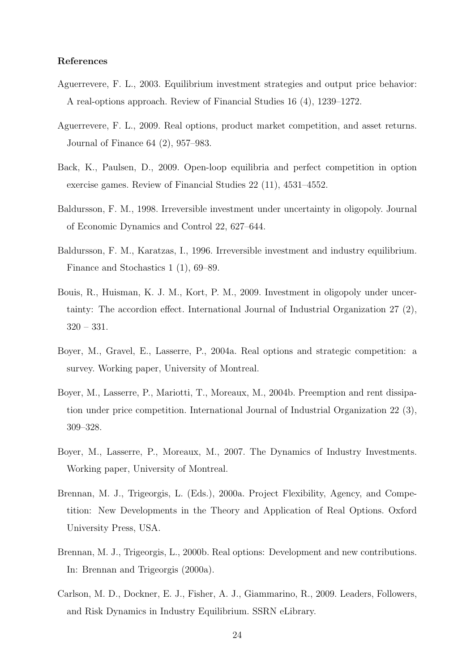## References

- Aguerrevere, F. L., 2003. Equilibrium investment strategies and output price behavior: A real-options approach. Review of Financial Studies 16 (4), 1239–1272.
- Aguerrevere, F. L., 2009. Real options, product market competition, and asset returns. Journal of Finance 64 (2), 957–983.
- Back, K., Paulsen, D., 2009. Open-loop equilibria and perfect competition in option exercise games. Review of Financial Studies 22 (11), 4531–4552.
- Baldursson, F. M., 1998. Irreversible investment under uncertainty in oligopoly. Journal of Economic Dynamics and Control 22, 627–644.
- Baldursson, F. M., Karatzas, I., 1996. Irreversible investment and industry equilibrium. Finance and Stochastics 1 (1), 69–89.
- Bouis, R., Huisman, K. J. M., Kort, P. M., 2009. Investment in oligopoly under uncertainty: The accordion effect. International Journal of Industrial Organization 27 (2), 320 – 331.
- Boyer, M., Gravel, E., Lasserre, P., 2004a. Real options and strategic competition: a survey. Working paper, University of Montreal.
- Boyer, M., Lasserre, P., Mariotti, T., Moreaux, M., 2004b. Preemption and rent dissipation under price competition. International Journal of Industrial Organization 22 (3), 309–328.
- Boyer, M., Lasserre, P., Moreaux, M., 2007. The Dynamics of Industry Investments. Working paper, University of Montreal.
- Brennan, M. J., Trigeorgis, L. (Eds.), 2000a. Project Flexibility, Agency, and Competition: New Developments in the Theory and Application of Real Options. Oxford University Press, USA.
- Brennan, M. J., Trigeorgis, L., 2000b. Real options: Development and new contributions. In: Brennan and Trigeorgis (2000a).
- Carlson, M. D., Dockner, E. J., Fisher, A. J., Giammarino, R., 2009. Leaders, Followers, and Risk Dynamics in Industry Equilibrium. SSRN eLibrary.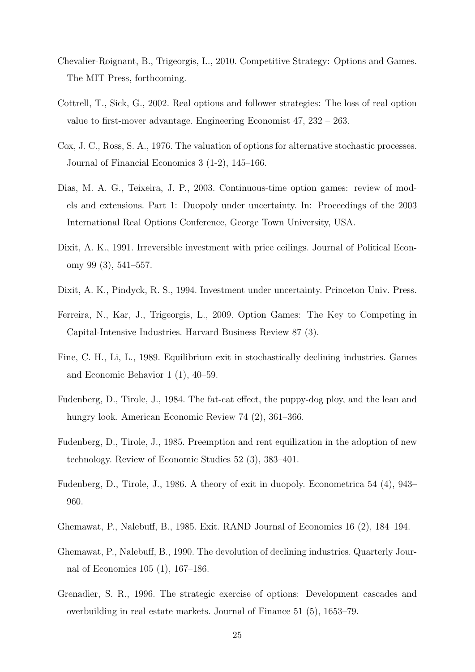- Chevalier-Roignant, B., Trigeorgis, L., 2010. Competitive Strategy: Options and Games. The MIT Press, forthcoming.
- Cottrell, T., Sick, G., 2002. Real options and follower strategies: The loss of real option value to first-mover advantage. Engineering Economist 47, 232 – 263.
- Cox, J. C., Ross, S. A., 1976. The valuation of options for alternative stochastic processes. Journal of Financial Economics 3 (1-2), 145–166.
- Dias, M. A. G., Teixeira, J. P., 2003. Continuous-time option games: review of models and extensions. Part 1: Duopoly under uncertainty. In: Proceedings of the 2003 International Real Options Conference, George Town University, USA.
- Dixit, A. K., 1991. Irreversible investment with price ceilings. Journal of Political Economy 99 (3), 541–557.
- Dixit, A. K., Pindyck, R. S., 1994. Investment under uncertainty. Princeton Univ. Press.
- Ferreira, N., Kar, J., Trigeorgis, L., 2009. Option Games: The Key to Competing in Capital-Intensive Industries. Harvard Business Review 87 (3).
- Fine, C. H., Li, L., 1989. Equilibrium exit in stochastically declining industries. Games and Economic Behavior 1 (1), 40–59.
- Fudenberg, D., Tirole, J., 1984. The fat-cat effect, the puppy-dog ploy, and the lean and hungry look. American Economic Review 74 (2), 361–366.
- Fudenberg, D., Tirole, J., 1985. Preemption and rent equilization in the adoption of new technology. Review of Economic Studies 52 (3), 383–401.
- Fudenberg, D., Tirole, J., 1986. A theory of exit in duopoly. Econometrica 54 (4), 943– 960.
- Ghemawat, P., Nalebuff, B., 1985. Exit. RAND Journal of Economics 16 (2), 184–194.
- Ghemawat, P., Nalebuff, B., 1990. The devolution of declining industries. Quarterly Journal of Economics 105 (1), 167–186.
- Grenadier, S. R., 1996. The strategic exercise of options: Development cascades and overbuilding in real estate markets. Journal of Finance 51 (5), 1653–79.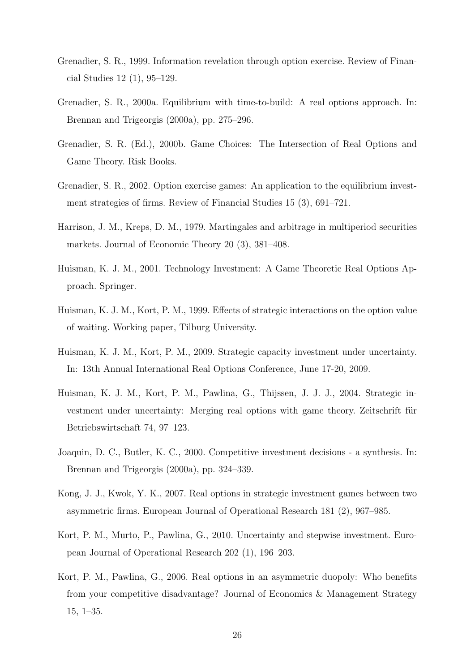- Grenadier, S. R., 1999. Information revelation through option exercise. Review of Financial Studies 12 (1), 95–129.
- Grenadier, S. R., 2000a. Equilibrium with time-to-build: A real options approach. In: Brennan and Trigeorgis (2000a), pp. 275–296.
- Grenadier, S. R. (Ed.), 2000b. Game Choices: The Intersection of Real Options and Game Theory. Risk Books.
- Grenadier, S. R., 2002. Option exercise games: An application to the equilibrium investment strategies of firms. Review of Financial Studies 15 (3), 691–721.
- Harrison, J. M., Kreps, D. M., 1979. Martingales and arbitrage in multiperiod securities markets. Journal of Economic Theory 20 (3), 381–408.
- Huisman, K. J. M., 2001. Technology Investment: A Game Theoretic Real Options Approach. Springer.
- Huisman, K. J. M., Kort, P. M., 1999. Effects of strategic interactions on the option value of waiting. Working paper, Tilburg University.
- Huisman, K. J. M., Kort, P. M., 2009. Strategic capacity investment under uncertainty. In: 13th Annual International Real Options Conference, June 17-20, 2009.
- Huisman, K. J. M., Kort, P. M., Pawlina, G., Thijssen, J. J. J., 2004. Strategic investment under uncertainty: Merging real options with game theory. Zeitschrift für Betriebswirtschaft 74, 97–123.
- Joaquin, D. C., Butler, K. C., 2000. Competitive investment decisions a synthesis. In: Brennan and Trigeorgis (2000a), pp. 324–339.
- Kong, J. J., Kwok, Y. K., 2007. Real options in strategic investment games between two asymmetric firms. European Journal of Operational Research 181 (2), 967–985.
- Kort, P. M., Murto, P., Pawlina, G., 2010. Uncertainty and stepwise investment. European Journal of Operational Research 202 (1), 196–203.
- Kort, P. M., Pawlina, G., 2006. Real options in an asymmetric duopoly: Who benefits from your competitive disadvantage? Journal of Economics & Management Strategy 15, 1–35.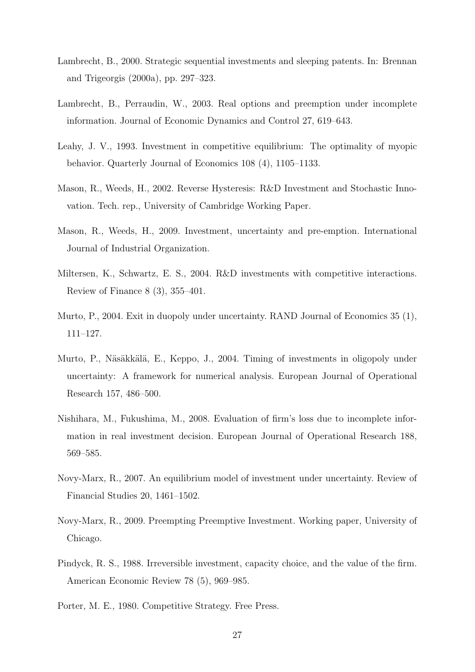- Lambrecht, B., 2000. Strategic sequential investments and sleeping patents. In: Brennan and Trigeorgis (2000a), pp. 297–323.
- Lambrecht, B., Perraudin, W., 2003. Real options and preemption under incomplete information. Journal of Economic Dynamics and Control 27, 619–643.
- Leahy, J. V., 1993. Investment in competitive equilibrium: The optimality of myopic behavior. Quarterly Journal of Economics 108 (4), 1105–1133.
- Mason, R., Weeds, H., 2002. Reverse Hysteresis: R&D Investment and Stochastic Innovation. Tech. rep., University of Cambridge Working Paper.
- Mason, R., Weeds, H., 2009. Investment, uncertainty and pre-emption. International Journal of Industrial Organization.
- Miltersen, K., Schwartz, E. S., 2004. R&D investments with competitive interactions. Review of Finance 8 (3), 355–401.
- Murto, P., 2004. Exit in duopoly under uncertainty. RAND Journal of Economics 35 (1), 111–127.
- Murto, P., Näsäkkälä, E., Keppo, J., 2004. Timing of investments in oligopoly under uncertainty: A framework for numerical analysis. European Journal of Operational Research 157, 486–500.
- Nishihara, M., Fukushima, M., 2008. Evaluation of firm's loss due to incomplete information in real investment decision. European Journal of Operational Research 188, 569–585.
- Novy-Marx, R., 2007. An equilibrium model of investment under uncertainty. Review of Financial Studies 20, 1461–1502.
- Novy-Marx, R., 2009. Preempting Preemptive Investment. Working paper, University of Chicago.
- Pindyck, R. S., 1988. Irreversible investment, capacity choice, and the value of the firm. American Economic Review 78 (5), 969–985.
- Porter, M. E., 1980. Competitive Strategy. Free Press.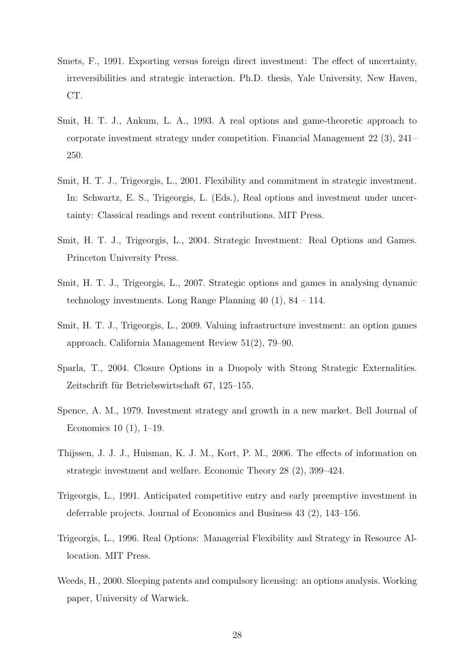- Smets, F., 1991. Exporting versus foreign direct investment: The effect of uncertainty, irreversibilities and strategic interaction. Ph.D. thesis, Yale University, New Haven, CT.
- Smit, H. T. J., Ankum, L. A., 1993. A real options and game-theoretic approach to corporate investment strategy under competition. Financial Management 22 (3), 241– 250.
- Smit, H. T. J., Trigeorgis, L., 2001. Flexibility and commitment in strategic investment. In: Schwartz, E. S., Trigeorgis, L. (Eds.), Real options and investment under uncertainty: Classical readings and recent contributions. MIT Press.
- Smit, H. T. J., Trigeorgis, L., 2004. Strategic Investment: Real Options and Games. Princeton University Press.
- Smit, H. T. J., Trigeorgis, L., 2007. Strategic options and games in analysing dynamic technology investments. Long Range Planning 40 (1), 84 – 114.
- Smit, H. T. J., Trigeorgis, L., 2009. Valuing infrastructure investment: an option games approach. California Management Review 51(2), 79–90.
- Sparla, T., 2004. Closure Options in a Duopoly with Strong Strategic Externalities. Zeitschrift für Betriebswirtschaft 67, 125–155.
- Spence, A. M., 1979. Investment strategy and growth in a new market. Bell Journal of Economics 10 (1), 1–19.
- Thijssen, J. J. J., Huisman, K. J. M., Kort, P. M., 2006. The effects of information on strategic investment and welfare. Economic Theory 28 (2), 399–424.
- Trigeorgis, L., 1991. Anticipated competitive entry and early preemptive investment in deferrable projects. Journal of Economics and Business 43 (2), 143–156.
- Trigeorgis, L., 1996. Real Options: Managerial Flexibility and Strategy in Resource Allocation. MIT Press.
- Weeds, H., 2000. Sleeping patents and compulsory licensing: an options analysis. Working paper, University of Warwick.